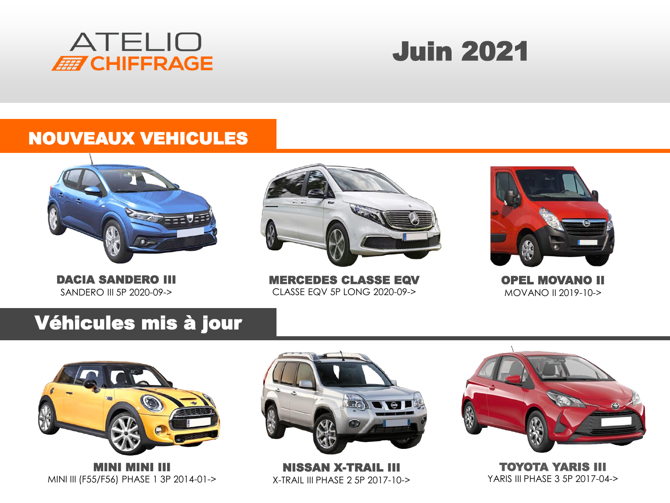

# Juin 2021

#### NOUVEAUX VEHICULES



DACIA SANDERO III SANDERO III 5P 2020-09->



MERCEDES CLASSE EQV CLASSE EQV 5P LONG 2020-09->



OPEL MOVANO II MOVANO II 2019-10->

### Véhicules mis à jour



MINI MINI III MINI III (F55/F56) PHASE 1 3P 2014-01->



NISSAN X-TRAIL III X-TRAIL III PHASE 2 5P 2017-10->



TOYOTA YARIS III YARIS III PHASE 3 5P 2017-04->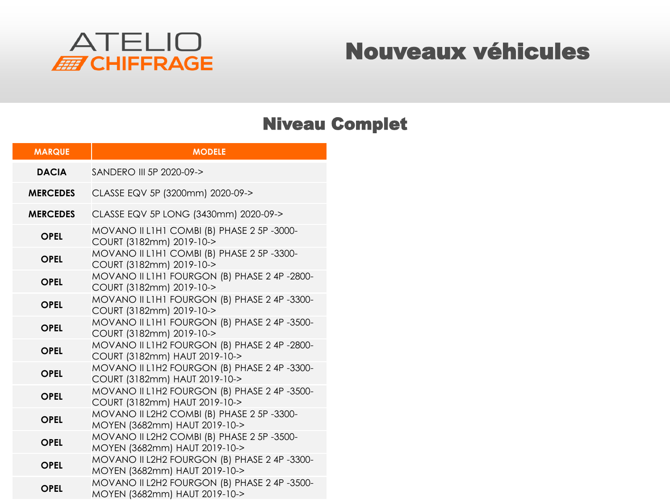

### Nouveaux véhicules

#### Niveau Complet

| <b>MARQUE</b>   | <b>MODELE</b>                                                                 |  |  |
|-----------------|-------------------------------------------------------------------------------|--|--|
| <b>DACIA</b>    | SANDERO III 5P 2020-09->                                                      |  |  |
| <b>MERCEDES</b> | CLASSE EQV 5P (3200mm) 2020-09->                                              |  |  |
| <b>MERCEDES</b> | CLASSE EQV 5P LONG (3430mm) 2020-09->                                         |  |  |
| <b>OPEL</b>     | MOVANO II LIHI COMBI (B) PHASE 2 5P-3000-<br>COURT (3182mm) 2019-10->         |  |  |
| <b>OPEL</b>     | MOVANO II LIHI COMBI (B) PHASE 2 5P-3300-<br>COURT (3182mm) 2019-10->         |  |  |
| <b>OPEL</b>     | MOVANO II LIHI FOURGON (B) PHASE 2 4P -2800-<br>COURT (3182mm) 2019-10->      |  |  |
| <b>OPEL</b>     | MOVANO II LIHI FOURGON (B) PHASE 2 4P -3300-<br>COURT (3182mm) 2019-10->      |  |  |
| <b>OPEL</b>     | MOVANO II LIHI FOURGON (B) PHASE 2 4P -3500-<br>COURT (3182mm) 2019-10->      |  |  |
| <b>OPEL</b>     | MOVANO II L1H2 FOURGON (B) PHASE 2 4P-2800-<br>COURT (3182mm) HAUT 2019-10->  |  |  |
| <b>OPEL</b>     | MOVANO II L1H2 FOURGON (B) PHASE 2 4P -3300-<br>COURT (3182mm) HAUT 2019-10-> |  |  |
| <b>OPEL</b>     | MOVANO II L1H2 FOURGON (B) PHASE 2 4P -3500-<br>COURT (3182mm) HAUT 2019-10-> |  |  |
| <b>OPEL</b>     | MOVANO II L2H2 COMBI (B) PHASE 2 5P-3300-<br>MOYEN (3682mm) HAUT 2019-10->    |  |  |
| <b>OPEL</b>     | MOVANO II L2H2 COMBI (B) PHASE 2 5P-3500-<br>MOYEN (3682mm) HAUT 2019-10->    |  |  |
| <b>OPEL</b>     | MOVANO II L2H2 FOURGON (B) PHASE 2 4P -3300-<br>MOYEN (3682mm) HAUT 2019-10-> |  |  |
| <b>OPEL</b>     | MOVANO II L2H2 FOURGON (B) PHASE 2 4P -3500-<br>MOYEN (3682mm) HAUT 2019-10-> |  |  |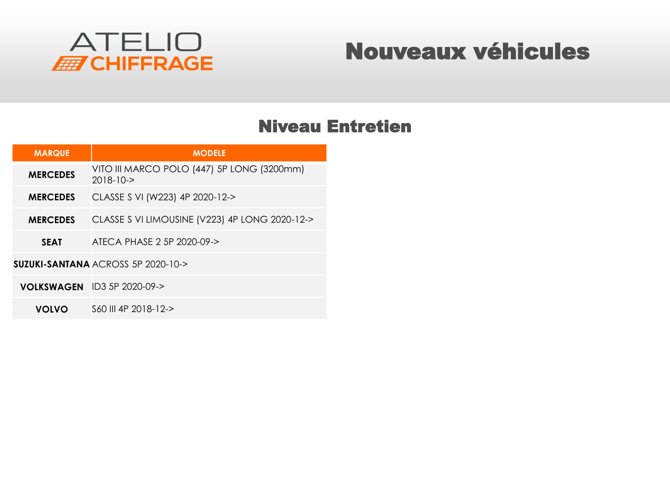

### Nouveaux véhicules

#### Niveau Entretien

| <b>MARQUE</b>   | <b>MODELE</b>                                                 |
|-----------------|---------------------------------------------------------------|
| <b>MERCEDES</b> | VITO III MARCO POLO (447) 5P LONG (3200mm)<br>$2018 - 10 - 5$ |
| <b>MERCEDES</b> | CLASSE S VI (W223) 4P 2020-12->                               |
| <b>MERCEDES</b> | CLASSE S VI LIMOUSINE (V223) 4P LONG 2020-12->                |
| <b>SEAT</b>     | ATECA PHASE 2 5P 2020-09->                                    |
|                 | SUZUKI-SANTANA ACROSS 5P 2020-10->                            |
|                 | <b>VOLKSWAGEN</b> ID3 5P 2020-09->                            |
| <b>VOLVO</b>    | S60 III 4P 2018-12->                                          |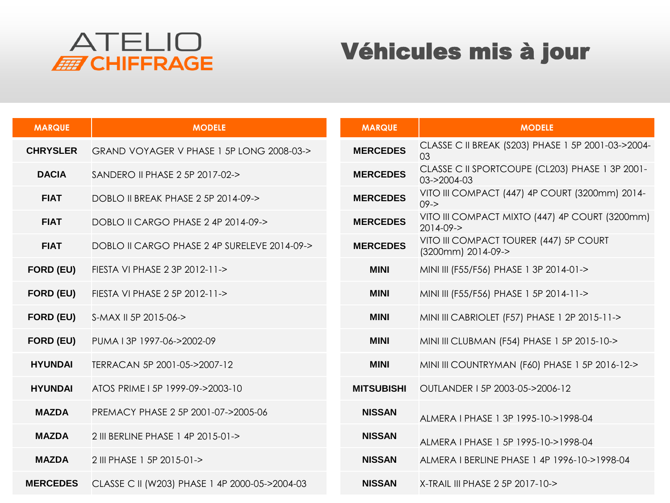

## Véhicules mis à jour

| <b>MARQUE</b>    | <b>MODELE</b>                                  | <b>MARQUE</b>     | <b>MODELE</b>                                                     |
|------------------|------------------------------------------------|-------------------|-------------------------------------------------------------------|
| <b>CHRYSLER</b>  | GRAND VOYAGER V PHASE 1 5P LONG 2008-03->      | <b>MERCEDES</b>   | CLASSE C II BREAK (S203) PHASE 1 5P 2001-03->2004-<br>03          |
| <b>DACIA</b>     | SANDERO II PHASE 2 5P 2017-02->                | <b>MERCEDES</b>   | CLASSE C II SPORTCOUPE (CL203) PHASE 1 3P 2001-<br>03->2004-03    |
| <b>FIAT</b>      | DOBLO II BREAK PHASE 2 5P 2014-09->            | <b>MERCEDES</b>   | VITO III COMPACT (447) 4P COURT (3200mm) 2014-<br>$09 - >$        |
| <b>FIAT</b>      | DOBLO II CARGO PHASE 2 4P 2014-09->            | <b>MERCEDES</b>   | VITO III COMPACT MIXTO (447) 4P COURT (3200mm)<br>$2014 - 09 - >$ |
| <b>FIAT</b>      | DOBLO II CARGO PHASE 2 4P SURELEVE 2014-09->   | <b>MERCEDES</b>   | VITO III COMPACT TOURER (447) 5P COURT<br>(3200mm) 2014-09->      |
| <b>FORD (EU)</b> | FIESTA VI PHASE 2 3P 2012-11->                 | <b>MINI</b>       | MINI III (F55/F56) PHASE 1 3P 2014-01->                           |
| <b>FORD (EU)</b> | FIESTA VI PHASE 2 5P 2012-11->                 | <b>MINI</b>       | MINI III (F55/F56) PHASE 1 5P 2014-11->                           |
| <b>FORD (EU)</b> | S-MAX II 5P 2015-06->                          | <b>MINI</b>       | MINI III CABRIOLET (F57) PHASE 1 2P 2015-11->                     |
| <b>FORD (EU)</b> | PUMA 13P 1997-06->2002-09                      | <b>MINI</b>       | MINI III CLUBMAN (F54) PHASE 1 5P 2015-10->                       |
| <b>HYUNDAI</b>   | TERRACAN 5P 2001-05->2007-12                   | <b>MINI</b>       | MINI III COUNTRYMAN (F60) PHASE 1 5P 2016-12->                    |
| <b>HYUNDAI</b>   | ATOS PRIME I 5P 1999-09->2003-10               | <b>MITSUBISHI</b> | OUTLANDER I 5P 2003-05->2006-12                                   |
| <b>MAZDA</b>     | PREMACY PHASE 2 5P 2001-07->2005-06            | <b>NISSAN</b>     | ALMERA I PHASE 1 3P 1995-10->1998-04                              |
| <b>MAZDA</b>     | 2 III BERLINE PHASE 1 4P 2015-01->             | <b>NISSAN</b>     | ALMERA I PHASE 1 5P 1995-10->1998-04                              |
| <b>MAZDA</b>     | 2 III PHASE 1 5P 2015-01->                     | <b>NISSAN</b>     | ALMERA I BERLINE PHASE 1 4P 1996-10->1998-04                      |
| <b>MERCEDES</b>  | CLASSE C II (W203) PHASE 1 4P 2000-05->2004-03 | <b>NISSAN</b>     | X-TRAIL III PHASE 2 5P 2017-10->                                  |